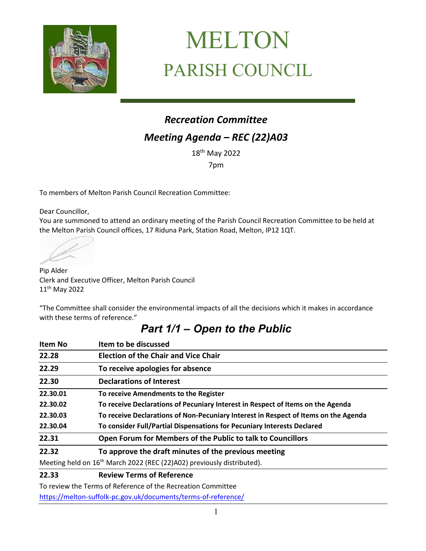

# MELTON PARISH COUNCIL

# *Recreation Committee Meeting Agenda – REC (22)A03*

18 th May 2022

7pm

To members of Melton Parish Council Recreation Committee:

Dear Councillor,

You are summoned to attend an ordinary meeting of the Parish Council Recreation Committee to be held at the Melton Parish Council offices, 17 Riduna Park, Station Road, Melton, IP12 1QT.

Pip Alder Clerk and Executive Officer, Melton Parish Council 11th May 2022

"The Committee shall consider the environmental impacts of all the decisions which it makes in accordance with these terms of reference."

## *Part 1/1 – Open to the Public*

| <b>Item No</b> | Item to be discussed                                                                |
|----------------|-------------------------------------------------------------------------------------|
| 22.28          | <b>Election of the Chair and Vice Chair</b>                                         |
| 22.29          | To receive apologies for absence                                                    |
| 22.30          | <b>Declarations of Interest</b>                                                     |
| 22.30.01       | To receive Amendments to the Register                                               |
| 22.30.02       | To receive Declarations of Pecuniary Interest in Respect of Items on the Agenda     |
| 22.30.03       | To receive Declarations of Non-Pecuniary Interest in Respect of Items on the Agenda |
| 22.30.04       | To consider Full/Partial Dispensations for Pecuniary Interests Declared             |
| 22.31          | Open Forum for Members of the Public to talk to Councillors                         |
| 22.32          | To approve the draft minutes of the previous meeting                                |
|                | Meeting held on 16 <sup>th</sup> March 2022 (REC (22)A02) previously distributed).  |
| 22.33          | <b>Review Terms of Reference</b>                                                    |

To review the Terms of Reference of the Recreation Committee

<https://melton-suffolk-pc.gov.uk/documents/terms-of-reference/>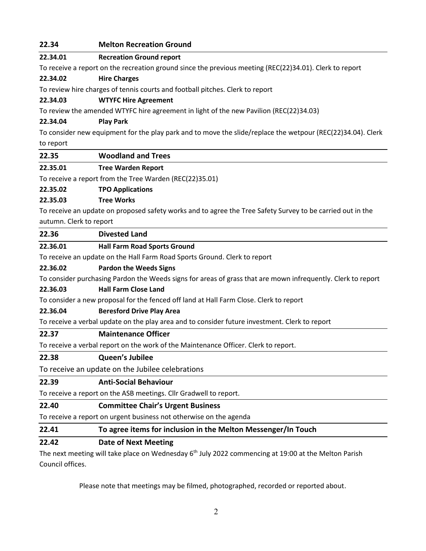#### **22.34 Melton Recreation Ground**

#### **22.34.01 Recreation Ground report**

To receive a report on the recreation ground since the previous meeting (REC(22)34.01). Clerk to report

#### **22.34.02 Hire Charges**

To review hire charges of tennis courts and football pitches. Clerk to report

#### **22.34.03 WTYFC Hire Agreement**

To review the amended WTYFC hire agreement in light of the new Pavilion (REC(22)34.03)

#### **22.34.04 Play Park**

To consider new equipment for the play park and to move the slide/replace the wetpour (REC(22)34.04). Clerk to report

#### **22.35 Woodland and Trees**

#### **22.35.01 Tree Warden Report**

To receive a report from the Tree Warden (REC(22)35.01)

#### **22.35.02 TPO Applications**

#### **22.35.03 Tree Works**

To receive an update on proposed safety works and to agree the Tree Safety Survey to be carried out in the autumn. Clerk to report

#### **22.36 Divested Land**

#### **22.36.01 Hall Farm Road Sports Ground**

To receive an update on the Hall Farm Road Sports Ground. Clerk to report

#### **22.36.02 Pardon the Weeds Signs**

To consider purchasing Pardon the Weeds signs for areas of grass that are mown infrequently. Clerk to report

#### **22.36.03 Hall Farm Close Land**

To consider a new proposal for the fenced off land at Hall Farm Close. Clerk to report

#### **22.36.04 Beresford Drive Play Area**

To receive a verbal update on the play area and to consider future investment. Clerk to report

#### **22.37 Maintenance Officer**

To receive a verbal report on the work of the Maintenance Officer. Clerk to report.

#### **22.38 Queen's Jubilee**

To receive an update on the Jubilee celebrations

#### **22.39 Anti-Social Behaviour**

To receive a report on the ASB meetings. Cllr Gradwell to report.

#### **22.40 Committee Chair's Urgent Business**

To receive a report on urgent business not otherwise on the agenda

#### **22.41 To agree items for inclusion in the Melton Messenger/In Touch**

#### **22.42 Date of Next Meeting**

The next meeting will take place on Wednesday  $6<sup>th</sup>$  July 2022 commencing at 19:00 at the Melton Parish Council offices.

Please note that meetings may be filmed, photographed, recorded or reported about.